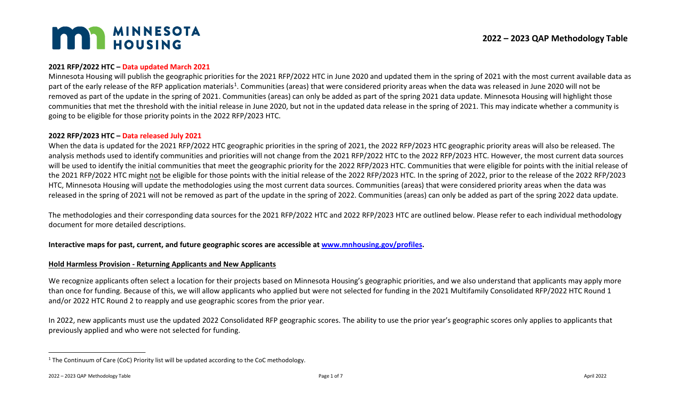# <span id="page-0-0"></span>**MAN MINNESOTA**

## **2021 RFP/2022 HTC – Data updated March 2021**

Minnesota Housing will publish the geographic priorities for the 2021 RFP/2022 HTC in June 2020 and updated them in the spring of 2021 with the most current available data as part of the early release of the RFP application materials<sup>[1](#page-0-0)</sup>. Communities (areas) that were considered priority areas when the data was released in June 2020 will not be removed as part of the update in the spring of 2021. Communities (areas) can only be added as part of the spring 2021 data update. Minnesota Housing will highlight those communities that met the threshold with the initial release in June 2020, but not in the updated data release in the spring of 2021. This may indicate whether a community is going to be eligible for those priority points in the 2022 RFP/2023 HTC.

#### **2022 RFP/2023 HTC – Data released July 2021**

When the data is updated for the 2021 RFP/2022 HTC geographic priorities in the spring of 2021, the 2022 RFP/2023 HTC geographic priority areas will also be released. The analysis methods used to identify communities and priorities will not change from the 2021 RFP/2022 HTC to the 2022 RFP/2023 HTC. However, the most current data sources will be used to identify the initial communities that meet the geographic priority for the 2022 RFP/2023 HTC. Communities that were eligible for points with the initial release of the 2021 RFP/2022 HTC might not be eligible for those points with the initial release of the 2022 RFP/2023 HTC. In the spring of 2022, prior to the release of the 2022 RFP/2023 HTC, Minnesota Housing will update the methodologies using the most current data sources. Communities (areas) that were considered priority areas when the data was released in the spring of 2021 will not be removed as part of the update in the spring of 2022. Communities (areas) can only be added as part of the spring 2022 data update.

The methodologies and their corresponding data sources for the 2021 RFP/2022 HTC and 2022 RFP/2023 HTC are outlined below. Please refer to each individual methodology document for more detailed descriptions.

# **Interactive maps for past, current, and future geographic scores are accessible at www.mnhousing.gov/profiles.**

### **Hold Harmless Provision - Returning Applicants and New Applicants**

We recognize applicants often select a location for their projects based on Minnesota Housing's geographic priorities, and we also understand that applicants may apply more than once for funding. Because of this, we will allow applicants who applied but were not selected for funding in the 2021 Multifamily Consolidated RFP/2022 HTC Round 1 and/or 2022 HTC Round 2 to reapply and use geographic scores from the prior year.

In 2022, new applicants must use the updated 2022 Consolidated RFP geographic scores. The ability to use the prior year's geographic scores only applies to applicants that previously applied and who were not selected for funding.

<sup>&</sup>lt;sup>1</sup> The Continuum of Care (CoC) Priority list will be updated according to the CoC methodology.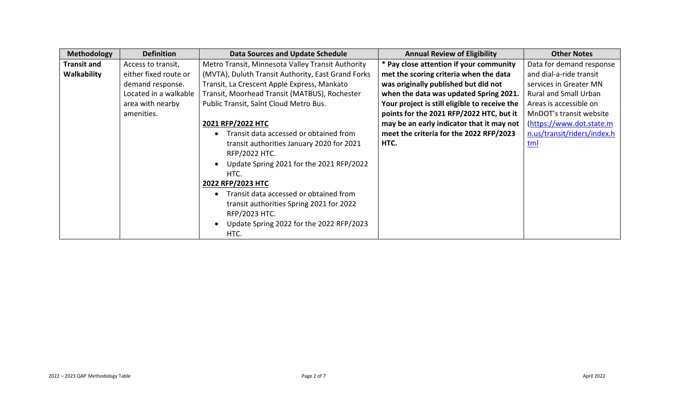| Methodology        | <b>Definition</b>     | <b>Data Sources and Update Schedule</b>            | <b>Annual Review of Eligibility</b>           | <b>Other Notes</b>           |
|--------------------|-----------------------|----------------------------------------------------|-----------------------------------------------|------------------------------|
| <b>Transit and</b> | Access to transit,    | Metro Transit, Minnesota Valley Transit Authority  | * Pay close attention if your community       | Data for demand response     |
| Walkability        | either fixed route or | (MVTA), Duluth Transit Authority, East Grand Forks | met the scoring criteria when the data        | and dial-a-ride transit      |
|                    | demand response.      | Transit, La Crescent Apple Express, Mankato        | was originally published but did not          | services in Greater MN       |
|                    | Located in a walkable | Transit, Moorhead Transit (MATBUS), Rochester      | when the data was updated Spring 2021.        | <b>Rural and Small Urban</b> |
|                    | area with nearby      | Public Transit, Saint Cloud Metro Bus.             | Your project is still eligible to receive the | Areas is accessible on       |
|                    | amenities.            |                                                    | points for the 2021 RFP/2022 HTC, but it      | MnDOT's transit website      |
|                    |                       | 2021 RFP/2022 HTC                                  | may be an early indicator that it may not     | (https://www.dot.state.m     |
|                    |                       | Transit data accessed or obtained from             | meet the criteria for the 2022 RFP/2023       | n.us/transit/riders/index.h  |
|                    |                       | transit authorities January 2020 for 2021          | HTC.                                          | tml                          |
|                    |                       | <b>RFP/2022 HTC.</b>                               |                                               |                              |
|                    |                       | Update Spring 2021 for the 2021 RFP/2022           |                                               |                              |
|                    |                       | HTC.                                               |                                               |                              |
|                    |                       | 2022 RFP/2023 HTC                                  |                                               |                              |
|                    |                       | Transit data accessed or obtained from             |                                               |                              |
|                    |                       | transit authorities Spring 2021 for 2022           |                                               |                              |
|                    |                       | RFP/2023 HTC.                                      |                                               |                              |
|                    |                       | Update Spring 2022 for the 2022 RFP/2023           |                                               |                              |
|                    |                       | HTC.                                               |                                               |                              |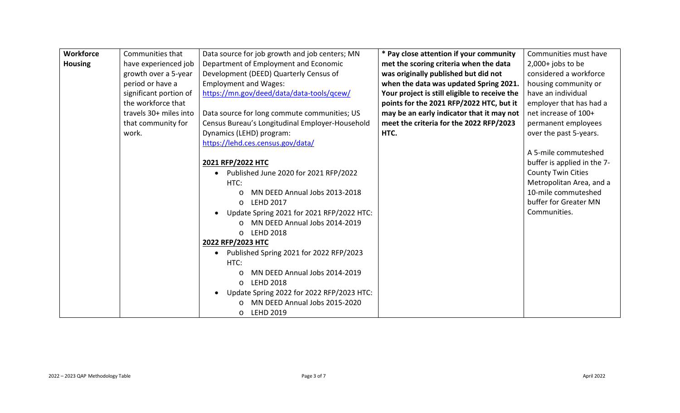| <b>Workforce</b> | Communities that       | Data source for job growth and job centers; MN  | * Pay close attention if your community       | Communities must have       |
|------------------|------------------------|-------------------------------------------------|-----------------------------------------------|-----------------------------|
| <b>Housing</b>   | have experienced job   | Department of Employment and Economic           | met the scoring criteria when the data        | $2,000+$ jobs to be         |
|                  | growth over a 5-year   | Development (DEED) Quarterly Census of          | was originally published but did not          | considered a workforce      |
|                  | period or have a       | <b>Employment and Wages:</b>                    | when the data was updated Spring 2021.        | housing community or        |
|                  | significant portion of | https://mn.gov/deed/data/data-tools/gcew/       | Your project is still eligible to receive the | have an individual          |
|                  | the workforce that     |                                                 | points for the 2021 RFP/2022 HTC, but it      | employer that has had a     |
|                  | travels 30+ miles into | Data source for long commute communities; US    | may be an early indicator that it may not     | net increase of 100+        |
|                  | that community for     | Census Bureau's Longitudinal Employer-Household | meet the criteria for the 2022 RFP/2023       | permanent employees         |
|                  | work.                  | Dynamics (LEHD) program:                        | HTC.                                          | over the past 5-years.      |
|                  |                        | https://lehd.ces.census.gov/data/               |                                               |                             |
|                  |                        |                                                 |                                               | A 5-mile commuteshed        |
|                  |                        | 2021 RFP/2022 HTC                               |                                               | buffer is applied in the 7- |
|                  |                        | Published June 2020 for 2021 RFP/2022           |                                               | <b>County Twin Cities</b>   |
|                  |                        | HTC:                                            |                                               | Metropolitan Area, and a    |
|                  |                        | MN DEED Annual Jobs 2013-2018                   |                                               | 10-mile commuteshed         |
|                  |                        | <b>LEHD 2017</b><br>$\circ$                     |                                               | buffer for Greater MN       |
|                  |                        | Update Spring 2021 for 2021 RFP/2022 HTC:       |                                               | Communities.                |
|                  |                        | MN DEED Annual Jobs 2014-2019                   |                                               |                             |
|                  |                        | <b>LEHD 2018</b><br>$\circ$                     |                                               |                             |
|                  |                        | 2022 RFP/2023 HTC                               |                                               |                             |
|                  |                        | Published Spring 2021 for 2022 RFP/2023         |                                               |                             |
|                  |                        | HTC:                                            |                                               |                             |
|                  |                        | MN DEED Annual Jobs 2014-2019                   |                                               |                             |
|                  |                        | <b>LEHD 2018</b><br>$\circ$                     |                                               |                             |
|                  |                        | Update Spring 2022 for 2022 RFP/2023 HTC:       |                                               |                             |
|                  |                        | MN DEED Annual Jobs 2015-2020                   |                                               |                             |
|                  |                        | <b>LEHD 2019</b><br>$\circ$                     |                                               |                             |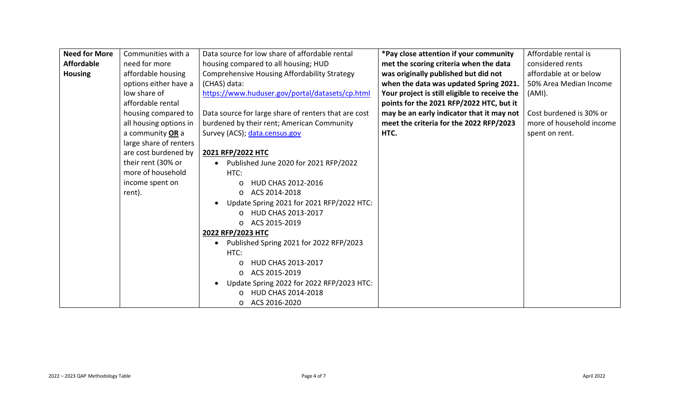| <b>Need for More</b> | Communities with a     | Data source for low share of affordable rental       | *Pay close attention if your community        | Affordable rental is     |
|----------------------|------------------------|------------------------------------------------------|-----------------------------------------------|--------------------------|
| <b>Affordable</b>    | need for more          | housing compared to all housing; HUD                 | met the scoring criteria when the data        | considered rents         |
| <b>Housing</b>       | affordable housing     | <b>Comprehensive Housing Affordability Strategy</b>  | was originally published but did not          | affordable at or below   |
|                      | options either have a  | (CHAS) data:                                         | when the data was updated Spring 2021.        | 50% Area Median Income   |
|                      | low share of           | https://www.huduser.gov/portal/datasets/cp.html      | Your project is still eligible to receive the | $(AMI)$ .                |
|                      | affordable rental      |                                                      | points for the 2021 RFP/2022 HTC, but it      |                          |
|                      | housing compared to    | Data source for large share of renters that are cost | may be an early indicator that it may not     | Cost burdened is 30% or  |
|                      | all housing options in | burdened by their rent; American Community           | meet the criteria for the 2022 RFP/2023       | more of household income |
|                      | a community OR a       | Survey (ACS); data.census.gov                        | HTC.                                          | spent on rent.           |
|                      | large share of renters |                                                      |                                               |                          |
|                      | are cost burdened by   | 2021 RFP/2022 HTC                                    |                                               |                          |
|                      | their rent (30% or     | Published June 2020 for 2021 RFP/2022                |                                               |                          |
|                      | more of household      | HTC:                                                 |                                               |                          |
|                      | income spent on        | HUD CHAS 2012-2016<br>O                              |                                               |                          |
|                      | rent).                 | ACS 2014-2018<br>$\circ$                             |                                               |                          |
|                      |                        | Update Spring 2021 for 2021 RFP/2022 HTC:            |                                               |                          |
|                      |                        | HUD CHAS 2013-2017<br>$\Omega$                       |                                               |                          |
|                      |                        | ACS 2015-2019<br>$\circ$                             |                                               |                          |
|                      |                        | 2022 RFP/2023 HTC                                    |                                               |                          |
|                      |                        | Published Spring 2021 for 2022 RFP/2023              |                                               |                          |
|                      |                        | HTC:                                                 |                                               |                          |
|                      |                        | HUD CHAS 2013-2017                                   |                                               |                          |
|                      |                        | ACS 2015-2019<br>$\circ$                             |                                               |                          |
|                      |                        | Update Spring 2022 for 2022 RFP/2023 HTC:            |                                               |                          |
|                      |                        | HUD CHAS 2014-2018                                   |                                               |                          |
|                      |                        | ACS 2016-2020<br>$\circ$                             |                                               |                          |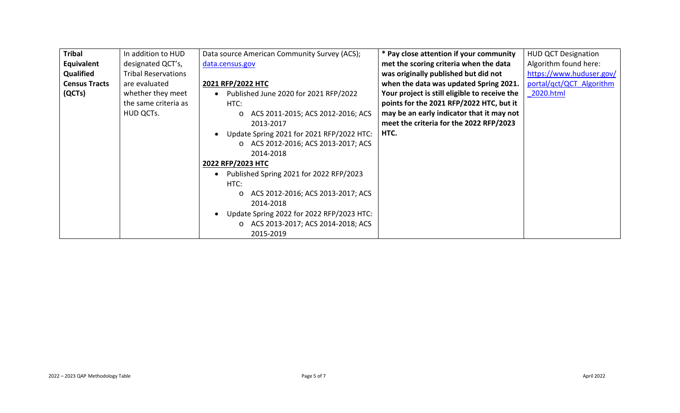| <b>Tribal</b>        | In addition to HUD         | Data source American Community Survey (ACS); | * Pay close attention if your community       | <b>HUD QCT Designation</b> |
|----------------------|----------------------------|----------------------------------------------|-----------------------------------------------|----------------------------|
| Equivalent           | designated QCT's,          | data.census.gov                              | met the scoring criteria when the data        | Algorithm found here:      |
| Qualified            | <b>Tribal Reservations</b> |                                              | was originally published but did not          | https://www.huduser.gov/   |
| <b>Census Tracts</b> | are evaluated              | 2021 RFP/2022 HTC                            | when the data was updated Spring 2021.        | portal/qct/QCT Algorithm   |
| (QCTs)               | whether they meet          | Published June 2020 for 2021 RFP/2022        | Your project is still eligible to receive the | 2020.html                  |
|                      | the same criteria as       | HTC:                                         | points for the 2021 RFP/2022 HTC, but it      |                            |
|                      | HUD QCTs.                  | ACS 2011-2015; ACS 2012-2016; ACS<br>$\circ$ | may be an early indicator that it may not     |                            |
|                      |                            | 2013-2017                                    | meet the criteria for the 2022 RFP/2023       |                            |
|                      |                            | Update Spring 2021 for 2021 RFP/2022 HTC:    | HTC.                                          |                            |
|                      |                            | O ACS 2012-2016; ACS 2013-2017; ACS          |                                               |                            |
|                      |                            | 2014-2018                                    |                                               |                            |
|                      |                            | 2022 RFP/2023 HTC                            |                                               |                            |
|                      |                            | Published Spring 2021 for 2022 RFP/2023      |                                               |                            |
|                      |                            | HTC:                                         |                                               |                            |
|                      |                            | ACS 2012-2016; ACS 2013-2017; ACS<br>$\circ$ |                                               |                            |
|                      |                            | 2014-2018                                    |                                               |                            |
|                      |                            | Update Spring 2022 for 2022 RFP/2023 HTC:    |                                               |                            |
|                      |                            | ACS 2013-2017; ACS 2014-2018; ACS            |                                               |                            |
|                      |                            | 2015-2019                                    |                                               |                            |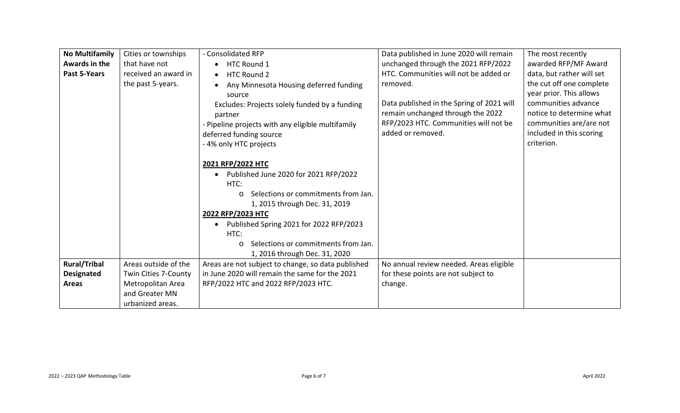| <b>No Multifamily</b> | Cities or townships  | - Consolidated RFP                                 | Data published in June 2020 will remain   | The most recently         |
|-----------------------|----------------------|----------------------------------------------------|-------------------------------------------|---------------------------|
| Awards in the         | that have not        | HTC Round 1<br>$\bullet$                           | unchanged through the 2021 RFP/2022       | awarded RFP/MF Award      |
| Past 5-Years          | received an award in | <b>HTC Round 2</b><br>$\bullet$                    | HTC. Communities will not be added or     | data, but rather will set |
|                       | the past 5-years.    | Any Minnesota Housing deferred funding             | removed.                                  | the cut off one complete  |
|                       |                      | source                                             |                                           | year prior. This allows   |
|                       |                      | Excludes: Projects solely funded by a funding      | Data published in the Spring of 2021 will | communities advance       |
|                       |                      | partner                                            | remain unchanged through the 2022         | notice to determine what  |
|                       |                      | - Pipeline projects with any eligible multifamily  | RFP/2023 HTC. Communities will not be     | communities are/are not   |
|                       |                      | deferred funding source                            | added or removed.                         | included in this scoring  |
|                       |                      | - 4% only HTC projects                             |                                           | criterion.                |
|                       |                      |                                                    |                                           |                           |
|                       |                      | 2021 RFP/2022 HTC                                  |                                           |                           |
|                       |                      | Published June 2020 for 2021 RFP/2022              |                                           |                           |
|                       |                      | HTC:                                               |                                           |                           |
|                       |                      | Selections or commitments from Jan.<br>$\circ$     |                                           |                           |
|                       |                      | 1, 2015 through Dec. 31, 2019                      |                                           |                           |
|                       |                      | 2022 RFP/2023 HTC                                  |                                           |                           |
|                       |                      | Published Spring 2021 for 2022 RFP/2023            |                                           |                           |
|                       |                      | HTC:                                               |                                           |                           |
|                       |                      | Selections or commitments from Jan.<br>$\circ$     |                                           |                           |
|                       |                      | 1, 2016 through Dec. 31, 2020                      |                                           |                           |
| <b>Rural/Tribal</b>   | Areas outside of the | Areas are not subject to change, so data published | No annual review needed. Areas eligible   |                           |
| <b>Designated</b>     | Twin Cities 7-County | in June 2020 will remain the same for the 2021     | for these points are not subject to       |                           |
| <b>Areas</b>          | Metropolitan Area    | RFP/2022 HTC and 2022 RFP/2023 HTC.                | change.                                   |                           |
|                       | and Greater MN       |                                                    |                                           |                           |
|                       | urbanized areas.     |                                                    |                                           |                           |